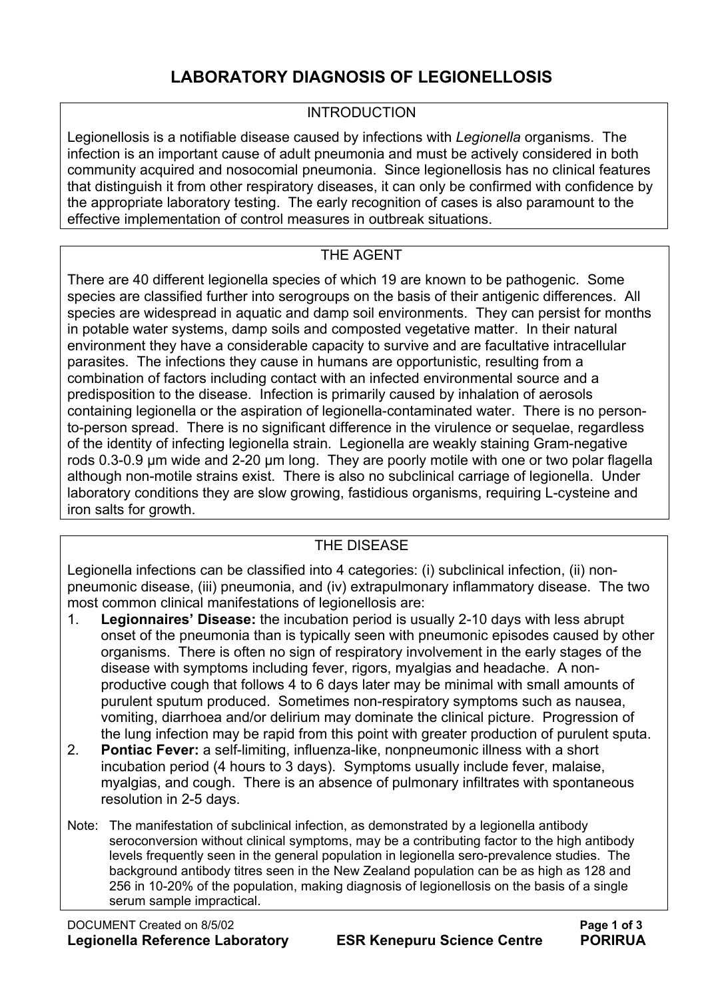## **LABORATORY DIAGNOSIS OF LEGIONELLOSIS**

#### **INTRODUCTION**

Legionellosis is a notifiable disease caused by infections with *Legionella* organisms. The infection is an important cause of adult pneumonia and must be actively considered in both community acquired and nosocomial pneumonia. Since legionellosis has no clinical features that distinguish it from other respiratory diseases, it can only be confirmed with confidence by the appropriate laboratory testing. The early recognition of cases is also paramount to the effective implementation of control measures in outbreak situations.

#### THE AGENT

There are 40 different legionella species of which 19 are known to be pathogenic. Some species are classified further into serogroups on the basis of their antigenic differences. All species are widespread in aquatic and damp soil environments. They can persist for months in potable water systems, damp soils and composted vegetative matter. In their natural environment they have a considerable capacity to survive and are facultative intracellular parasites. The infections they cause in humans are opportunistic, resulting from a combination of factors including contact with an infected environmental source and a predisposition to the disease. Infection is primarily caused by inhalation of aerosols containing legionella or the aspiration of legionella-contaminated water. There is no personto-person spread. There is no significant difference in the virulence or sequelae, regardless of the identity of infecting legionella strain. Legionella are weakly staining Gram-negative rods 0.3-0.9 µm wide and 2-20 µm long. They are poorly motile with one or two polar flagella although non-motile strains exist. There is also no subclinical carriage of legionella. Under laboratory conditions they are slow growing, fastidious organisms, requiring L-cysteine and iron salts for growth.

## THE DISEASE

Legionella infections can be classified into 4 categories: (i) subclinical infection, (ii) nonpneumonic disease, (iii) pneumonia, and (iv) extrapulmonary inflammatory disease. The two most common clinical manifestations of legionellosis are:

- 1. **Legionnaires' Disease:** the incubation period is usually 2-10 days with less abrupt onset of the pneumonia than is typically seen with pneumonic episodes caused by other organisms. There is often no sign of respiratory involvement in the early stages of the disease with symptoms including fever, rigors, myalgias and headache. A nonproductive cough that follows 4 to 6 days later may be minimal with small amounts of purulent sputum produced. Sometimes non-respiratory symptoms such as nausea, vomiting, diarrhoea and/or delirium may dominate the clinical picture. Progression of the lung infection may be rapid from this point with greater production of purulent sputa.
- 2. **Pontiac Fever:** a self-limiting, influenza-like, nonpneumonic illness with a short incubation period (4 hours to 3 days). Symptoms usually include fever, malaise, myalgias, and cough. There is an absence of pulmonary infiltrates with spontaneous resolution in 2-5 days.
- Note: The manifestation of subclinical infection, as demonstrated by a legionella antibody seroconversion without clinical symptoms, may be a contributing factor to the high antibody levels frequently seen in the general population in legionella sero-prevalence studies. The background antibody titres seen in the New Zealand population can be as high as 128 and 256 in 10-20% of the population, making diagnosis of legionellosis on the basis of a single serum sample impractical.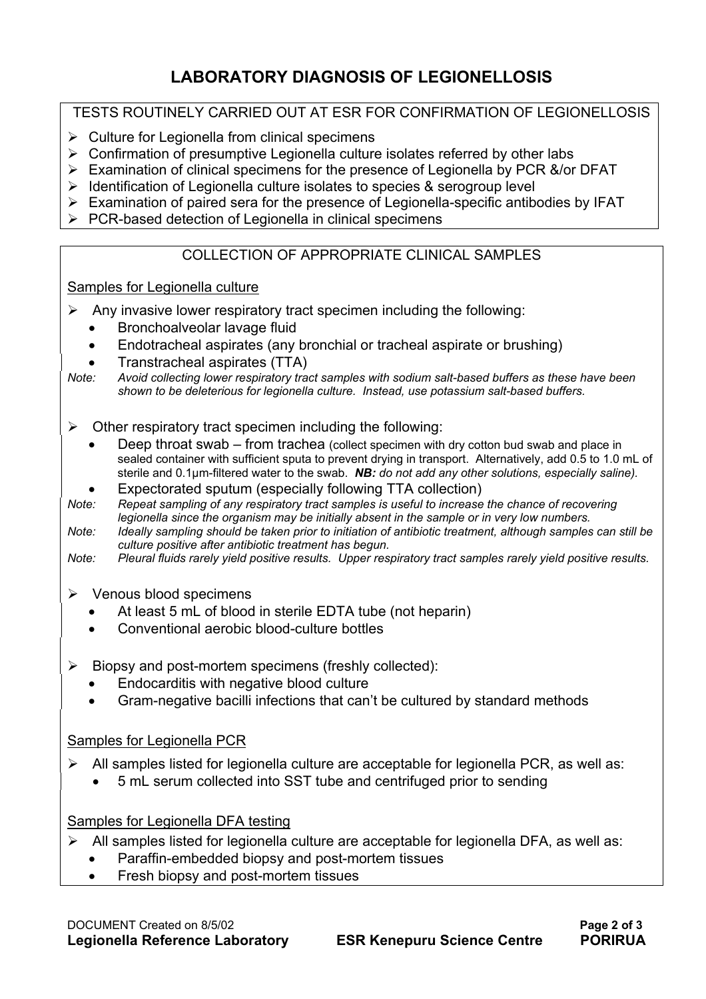# **LABORATORY DIAGNOSIS OF LEGIONELLOSIS**

### TESTS ROUTINELY CARRIED OUT AT ESR FOR CONFIRMATION OF LEGIONELLOSIS

- $\triangleright$  Culture for Legionella from clinical specimens
- $\triangleright$  Confirmation of presumptive Legionella culture isolates referred by other labs
- ¾ Examination of clinical specimens for the presence of Legionella by PCR &/or DFAT
- $\triangleright$  Identification of Legionella culture isolates to species & serogroup level
- $\triangleright$  Examination of paired sera for the presence of Legionella-specific antibodies by IFAT
- $\triangleright$  PCR-based detection of Legionella in clinical specimens

### COLLECTION OF APPROPRIATE CLINICAL SAMPLES

#### Samples for Legionella culture

- $\triangleright$  Any invasive lower respiratory tract specimen including the following:
	- Bronchoalveolar lavage fluid
	- Endotracheal aspirates (any bronchial or tracheal aspirate or brushing)
	- Transtracheal aspirates (TTA)
- *Note: Avoid collecting lower respiratory tract samples with sodium salt-based buffers as these have been shown to be deleterious for legionella culture. Instead, use potassium salt-based buffers.*
- $\triangleright$  Other respiratory tract specimen including the following:
	- Deep throat swab from trachea (collect specimen with dry cotton bud swab and place in sealed container with sufficient sputa to prevent drying in transport. Alternatively, add 0.5 to 1.0 mL of sterile and 0.1µm-filtered water to the swab. *NB: do not add any other solutions, especially saline).*
	- Expectorated sputum (especially following TTA collection)
- *Note: Repeat sampling of any respiratory tract samples is useful to increase the chance of recovering legionella since the organism may be initially absent in the sample or in very low numbers.*
- *Note: Ideally sampling should be taken prior to initiation of antibiotic treatment, although samples can still be culture positive after antibiotic treatment has begun.*

*Note: Pleural fluids rarely yield positive results. Upper respiratory tract samples rarely yield positive results.* 

- $\triangleright$  Venous blood specimens
	- At least 5 mL of blood in sterile EDTA tube (not heparin)
	- Conventional aerobic blood-culture bottles
- $\triangleright$  Biopsy and post-mortem specimens (freshly collected):
	- Endocarditis with negative blood culture
	- Gram-negative bacilli infections that can't be cultured by standard methods

#### Samples for Legionella PCR

- $\triangleright$  All samples listed for legionella culture are acceptable for legionella PCR, as well as:
	- 5 mL serum collected into SST tube and centrifuged prior to sending

#### Samples for Legionella DFA testing

- $\triangleright$  All samples listed for legionella culture are acceptable for legionella DFA, as well as:
	- Paraffin-embedded biopsy and post-mortem tissues
	- Fresh biopsy and post-mortem tissues